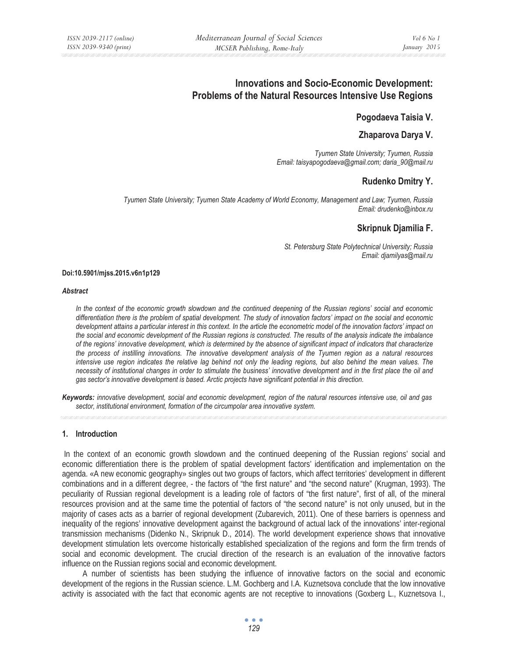# **Innovations and Socio-Economic Development: Problems of the Natural Resources Intensive Use Regions**

### **Pogodaeva Taisia V.**

## **Zhaparova Darya V.**

*Tyumen State University; Tyumen, Russia Email: taisyapogodaeva@gmail.com; daria\_90@mail.ru* 

## **Rudenko Dmitry Y.**

*Tyumen State University; Tyumen State Academy of World Economy, Management and Law; Tyumen, Russia Email: drudenko@inbox.ru* 

## **Skripnuk Djamilia F.**

*St. Petersburg State Polytechnical University; Russia Email: djamilyas@mail.ru* 

#### **Doi:10.5901/mjss.2015.v6n1p129**

#### *Abstract*

*In the context of the economic growth slowdown and the continued deepening of the Russian regions' social and economic differentiation there is the problem of spatial development. The study of innovation factors' impact on the social and economic development attains a particular interest in this context. In the article the econometric model of the innovation factors' impact on the social and economic development of the Russian regions is constructed. The results of the analysis indicate the imbalance of the regions' innovative development, which is determined by the absence of significant impact of indicators that characterize the process of instilling innovations. The innovative development analysis of the Tyumen region as a natural resources intensive use region indicates the relative lag behind not only the leading regions, but also behind the mean values. The necessity of institutional changes in order to stimulate the business' innovative development and in the first place the oil and gas sector's innovative development is based. Arctic projects have significant potential in this direction.* 

*Keywords: innovative development, social and economic development, region of the natural resources intensive use, oil and gas sector, institutional environment, formation of the circumpolar area innovative system.* 

#### **1. Introduction**

 In the context of an economic growth slowdown and the continued deepening of the Russian regions' social and economic differentiation there is the problem of spatial development factors' identification and implementation on the agenda. «A new economic geography» singles out two groups of factors, which affect territories' development in different combinations and in a different degree, - the factors of "the first nature" and "the second nature" (Krugman, 1993). The peculiarity of Russian regional development is a leading role of factors of "the first nature", first of all, of the mineral resources provision and at the same time the potential of factors of "the second nature" is not only unused, but in the majority of cases acts as a barrier of regional development (Zubarevich, 2011). One of these barriers is openness and inequality of the regions' innovative development against the background of actual lack of the innovations' inter-regional transmission mechanisms (Didenko N., Skripnuk D., 2014). The world development experience shows that innovative development stimulation lets overcome historically established specialization of the regions and form the firm trends of social and economic development. The crucial direction of the research is an evaluation of the innovative factors influence on the Russian regions social and economic development.

A number of scientists has been studying the influence of innovative factors on the social and economic development of the regions in the Russian science. L.M. Gochberg and I.A. Kuznetsova conclude that the low innovative activity is associated with the fact that economic agents are not receptive to innovations (Goxberg L., Kuznetsova I.,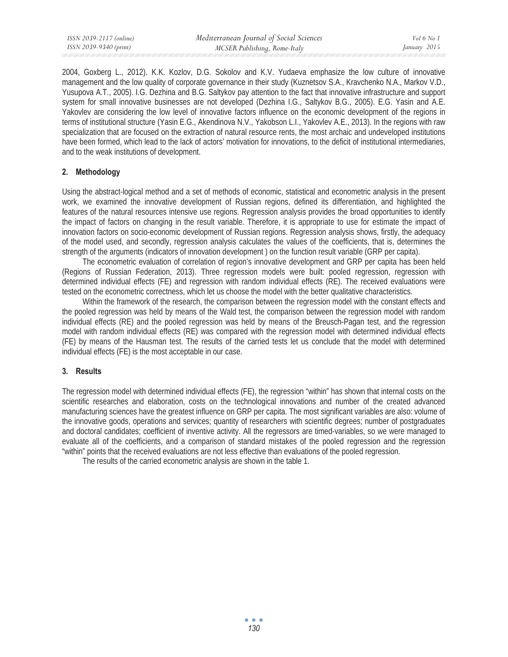2004, Goxberg L., 2012). K.K. Kozlov, D.G. Sokolov and K.V. Yudaeva emphasize the low culture of innovative management and the low quality of corporate governance in their study (Kuznetsov S.A., Kravchenko N.A., Markov V.D., Yusupova A.T., 2005). I.G. Dezhina and B.G. Saltykov pay attention to the fact that innovative infrastructure and support system for small innovative businesses are not developed (Dezhina I.G., Saltykov B.G., 2005). E.G. Yasin and A.E. Yakovlev are considering the low level of innovative factors influence on the economic development of the regions in terms of institutional structure (Yasin E.G., Akendinova N.V., Yakobson L.I., Yakovlev A.E., 2013). In the regions with raw specialization that are focused on the extraction of natural resource rents, the most archaic and undeveloped institutions have been formed, which lead to the lack of actors' motivation for innovations, to the deficit of institutional intermediaries, and to the weak institutions of development.

### **2. Methodology**

Using the abstract-logical method and a set of methods of economic, statistical and econometric analysis in the present work, we examined the innovative development of Russian regions, defined its differentiation, and highlighted the features of the natural resources intensive use regions. Regression analysis provides the broad opportunities to identify the impact of factors on changing in the result variable. Therefore, it is appropriate to use for estimate the impact of innovation factors on socio-economic development of Russian regions. Regression analysis shows, firstly, the adequacy of the model used, and secondly, regression analysis calculates the values of the coefficients, that is, determines the strength of the arguments (indicators of innovation development ) on the function result variable (GRP per capita).

The econometric evaluation of correlation of region's innovative development and GRP per capita has been held (Regions of Russian Federation, 2013). Three regression models were built: pooled regression, regression with determined individual effects (FE) and regression with random individual effects (RE). The received evaluations were tested on the econometric correctness, which let us choose the model with the better qualitative characteristics.

Within the framework of the research, the comparison between the regression model with the constant effects and the pooled regression was held by means of the Wald test, the comparison between the regression model with random individual effects (RE) and the pooled regression was held by means of the Breusch-Pagan test, and the regression model with random individual effects (RE) was compared with the regression model with determined individual effects (FE) by means of the Hausman test. The results of the carried tests let us conclude that the model with determined individual effects (FE) is the most acceptable in our case.

## **3. Results**

The regression model with determined individual effects (FE), the regression "within" has shown that internal costs on the scientific researches and elaboration, costs on the technological innovations and number of the created advanced manufacturing sciences have the greatest influence on GRP per capita. The most significant variables are also: volume of the innovative goods, operations and services; quantity of researchers with scientific degrees; number of postgraduates and doctoral candidates; coefficient of inventive activity. All the regressors are timed-variables, so we were managed to evaluate all of the coefficients, and a comparison of standard mistakes of the pooled regression and the regression "within" points that the received evaluations are not less effective than evaluations of the pooled regression.

The results of the carried econometric analysis are shown in the table 1.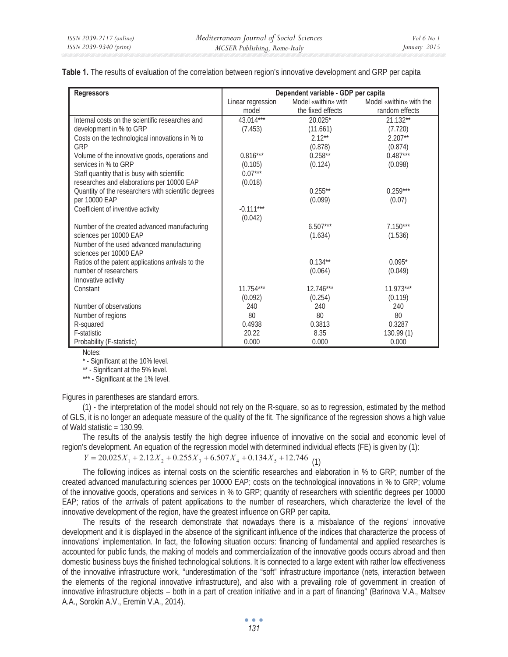|  |  | Table 1. The results of evaluation of the correlation between region's innovative development and GRP per capita |  |
|--|--|------------------------------------------------------------------------------------------------------------------|--|
|  |  |                                                                                                                  |  |

| <b>Regressors</b>                                                          | Dependent variable - GDP per capita |                     |                         |
|----------------------------------------------------------------------------|-------------------------------------|---------------------|-------------------------|
|                                                                            | Linear regression                   | Model «within» with | Model «within» with the |
|                                                                            | model                               | the fixed effects   | random effects          |
| Internal costs on the scientific researches and                            | 43.014***                           | 20.025*             | 21.132**                |
| development in % to GRP                                                    | (7.453)                             | (11.661)            | (7.720)                 |
| Costs on the technological innovations in % to                             |                                     | $2.12***$           | $2.207**$               |
| GRP                                                                        |                                     | (0.878)             | (0.874)                 |
| Volume of the innovative goods, operations and                             | $0.816***$                          | $0.258**$           | $0.487***$              |
| services in % to GRP                                                       | (0.105)                             | (0.124)             | (0.098)                 |
| Staff quantity that is busy with scientific                                | $0.07***$                           |                     |                         |
| researches and elaborations per 10000 EAP                                  | (0.018)                             |                     |                         |
| Quantity of the researchers with scientific degrees                        |                                     | $0.255***$          | $0.259***$              |
| per 10000 EAP                                                              |                                     | (0.099)             | (0.07)                  |
| Coefficient of inventive activity                                          | $-0.111***$                         |                     |                         |
|                                                                            | (0.042)                             |                     |                         |
| Number of the created advanced manufacturing                               |                                     | $6.507***$          | $7.150***$              |
| sciences per 10000 EAP                                                     |                                     | (1.634)             | (1.536)                 |
| Number of the used advanced manufacturing                                  |                                     |                     |                         |
| sciences per 10000 EAP                                                     |                                     | $0.134**$           | $0.095*$                |
| Ratios of the patent applications arrivals to the<br>number of researchers |                                     | (0.064)             | (0.049)                 |
| Innovative activity                                                        |                                     |                     |                         |
| Constant                                                                   | $11.754***$                         | 12.746***           | $11.973***$             |
|                                                                            | (0.092)                             | (0.254)             | (0.119)                 |
| Number of observations                                                     | 240                                 | 240                 | 240                     |
| Number of regions                                                          | 80                                  | 80                  | 80                      |
| R-squared                                                                  | 0.4938                              | 0.3813              | 0.3287                  |
| F-statistic                                                                | 20.22                               | 8.35                | 130.99 (1)              |
| Probability (F-statistic)                                                  | 0.000                               | 0.000               | 0.000                   |

Notes:

\* - Significant at the 10% level.

\*\* - Significant at the 5% level.

\*\*\* - Significant at the 1% level.

Figures in parentheses are standard errors.

(1) - the interpretation of the model should not rely on the R-square, so as to regression, estimated by the method of GLS, it is no longer an adequate measure of the quality of the fit. The significance of the regression shows a high value of Wald statistic  $= 130.99$ .

The results of the analysis testify the high degree influence of innovative on the social and economic level of region's development. An equation of the regression model with determined individual effects (FE) is given by (1):

 $Y = 20.025X_1 + 2.12X_2 + 0.255X_3 + 6.507X_4 + 0.134X_5 + 12.746$  (1)

The following indices as internal costs on the scientific researches and elaboration in % to GRP; number of the created advanced manufacturing sciences per 10000 EAP; costs on the technological innovations in % to GRP; volume of the innovative goods, operations and services in % to GRP; quantity of researchers with scientific degrees per 10000 EAP; ratios of the arrivals of patent applications to the number of researchers, which characterize the level of the innovative development of the region, have the greatest influence on GRP per capita.

The results of the research demonstrate that nowadays there is a misbalance of the regions' innovative development and it is displayed in the absence of the significant influence of the indices that characterize the process of innovations' implementation. In fact, the following situation occurs: financing of fundamental and applied researches is accounted for public funds, the making of models and commercialization of the innovative goods occurs abroad and then domestic business buys the finished technological solutions. It is connected to a large extent with rather low effectiveness of the innovative infrastructure work, "underestimation of the "soft" infrastructure importance (nets, interaction between the elements of the regional innovative infrastructure), and also with a prevailing role of government in creation of innovative infrastructure objects – both in a part of creation initiative and in a part of financing" (Barinova V.A., Maltsev A.A., Sorokin A.V., Eremin V.A., 2014).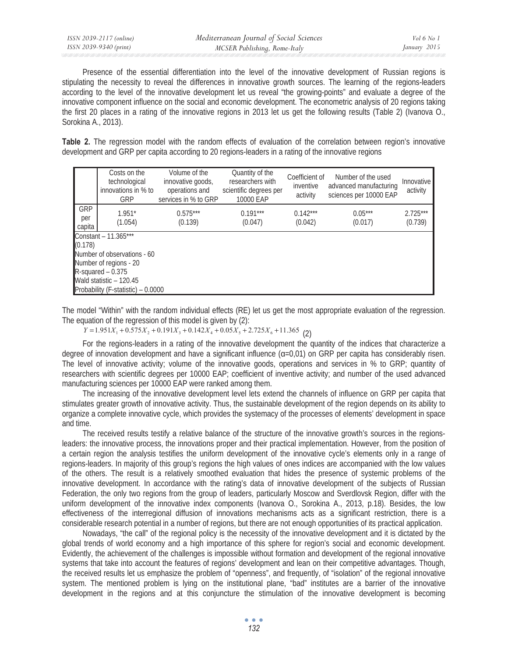| ISSN 2039-2117 (online) | Mediterranean Journal of Social Sciences | $Vol 6$ No 1 |
|-------------------------|------------------------------------------|--------------|
| ISSN 2039-9340 (print)  | MCSER Publishing, Rome-Italy             | January 2015 |

Presence of the essential differentiation into the level of the innovative development of Russian regions is stipulating the necessity to reveal the differences in innovative growth sources. The learning of the regions-leaders according to the level of the innovative development let us reveal "the growing-points" and evaluate a degree of the innovative component influence on the social and economic development. The econometric analysis of 20 regions taking the first 20 places in a rating of the innovative regions in 2013 let us get the following results (Table 2) (Ivanova O., Sorokina A., 2013).

**Table 2.** The regression model with the random effects of evaluation of the correlation between region's innovative development and GRP per capita according to 20 regions-leaders in a rating of the innovative regions

|                                                                                                                                                                                    | Costs on the<br>technological<br>innovations in % to<br>GRP | Volume of the<br>innovative goods,<br>operations and<br>services in % to GRP | Quantity of the<br>researchers with<br>scientific degrees per<br>10000 EAP | Coefficient of<br>inventive<br>activity | Number of the used<br>advanced manufacturing<br>sciences per 10000 EAP | Innovative<br>activity |
|------------------------------------------------------------------------------------------------------------------------------------------------------------------------------------|-------------------------------------------------------------|------------------------------------------------------------------------------|----------------------------------------------------------------------------|-----------------------------------------|------------------------------------------------------------------------|------------------------|
| <b>GRP</b><br>per<br>capita                                                                                                                                                        | $1.951*$<br>(1.054)                                         | $0.575***$<br>(0.139)                                                        | $0.191***$<br>(0.047)                                                      | $0.142***$<br>(0.042)                   | $0.05***$<br>(0.017)                                                   | $2.725***$<br>(0.739)  |
| Constant - 11.365***<br>(0.178)<br>Number of observations - 60<br>Number of regions - 20<br>$R$ -squared $-0.375$<br>Wald statistic - 120.45<br>Probability (F-statistic) - 0.0000 |                                                             |                                                                              |                                                                            |                                         |                                                                        |                        |

The model "Within" with the random individual effects (RE) let us get the most appropriate evaluation of the regression. The equation of the regression of this model is given by (2):

 $Y = 1.951X_1 + 0.575X_2 + 0.191X_3 + 0.142X_4 + 0.05X_5 + 2.725X_6 + 11.365$  (2)

For the regions-leaders in a rating of the innovative development the quantity of the indices that characterize a degree of innovation development and have a significant influence  $(q=0.01)$  on GRP per capita has considerably risen. The level of innovative activity; volume of the innovative goods, operations and services in % to GRP; quantity of researchers with scientific degrees per 10000 EAP; coefficient of inventive activity; and number of the used advanced manufacturing sciences per 10000 EAP were ranked among them.

The increasing of the innovative development level lets extend the channels of influence on GRP per capita that stimulates greater growth of innovative activity. Thus, the sustainable development of the region depends on its ability to organize a complete innovative cycle, which provides the systemacy of the processes of elements' development in space and time.

The received results testify a relative balance of the structure of the innovative growth's sources in the regionsleaders: the innovative process, the innovations proper and their practical implementation. However, from the position of a certain region the analysis testifies the uniform development of the innovative cycle's elements only in a range of regions-leaders. In majority of this group's regions the high values of ones indices are accompanied with the low values of the others. The result is a relatively smoothed evaluation that hides the presence of systemic problems of the innovative development. In accordance with the rating's data of innovative development of the subjects of Russian Federation, the only two regions from the group of leaders, particularly Moscow and Sverdlovsk Region, differ with the uniform development of the innovative index components (Ivanova O., Sorokina A., 2013, p.18). Besides, the low effectiveness of the interregional diffusion of innovations mechanisms acts as a significant restriction, there is a considerable research potential in a number of regions, but there are not enough opportunities of its practical application.

Nowadays, "the call" of the regional policy is the necessity of the innovative development and it is dictated by the global trends of world economy and a high importance of this sphere for region's social and economic development. Evidently, the achievement of the challenges is impossible without formation and development of the regional innovative systems that take into account the features of regions' development and lean on their competitive advantages. Though, the received results let us emphasize the problem of "openness", and frequently, of "isolation" of the regional innovative system. The mentioned problem is lying on the institutional plane, "bad" institutes are a barrier of the innovative development in the regions and at this conjuncture the stimulation of the innovative development is becoming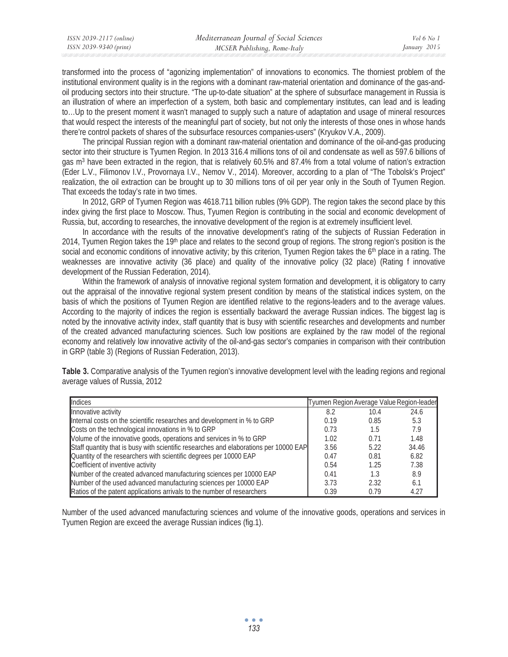| ISSN 2039-2117 (online) | Mediterranean Journal of Social Sciences | Vol 6 No 1   |
|-------------------------|------------------------------------------|--------------|
| ISSN 2039-9340 (print)  | MCSER Publishing, Rome-Italy             | January 2015 |

transformed into the process of "agonizing implementation" of innovations to economics. The thorniest problem of the institutional environment quality is in the regions with a dominant raw-material orientation and dominance of the gas-andoil producing sectors into their structure. "The up-to-date situation" at the sphere of subsurface management in Russia is an illustration of where an imperfection of a system, both basic and complementary institutes, can lead and is leading to…Up to the present moment it wasn't managed to supply such a nature of adaptation and usage of mineral resources that would respect the interests of the meaningful part of society, but not only the interests of those ones in whose hands there're control packets of shares of the subsurface resources companies-users" (Kryukov V.A., 2009).

The principal Russian region with a dominant raw-material orientation and dominance of the oil-and-gas producing sector into their structure is Tyumen Region. In 2013 316.4 millions tons of oil and condensate as well as 597.6 billions of gas  $m<sup>3</sup>$  have been extracted in the region, that is relatively 60.5% and 87.4% from a total volume of nation's extraction (Eder L.V., Filimonov I.V., Provornaya I.V., Nemov V., 2014). Moreover, according to a plan of "The Tobolsk's Project" realization, the oil extraction can be brought up to 30 millions tons of oil per year only in the South of Tyumen Region. That exceeds the today's rate in two times.

In 2012, GRP of Tyumen Region was 4618.711 billion rubles (9% GDP). The region takes the second place by this index giving the first place to Moscow. Thus, Tyumen Region is contributing in the social and economic development of Russia, but, according to researches, the innovative development of the region is at extremely insufficient level.

In accordance with the results of the innovative development's rating of the subjects of Russian Federation in 2014, Tyumen Region takes the 19<sup>th</sup> place and relates to the second group of regions. The strong region's position is the social and economic conditions of innovative activity; by this criterion, Tyumen Region takes the  $6<sup>th</sup>$  place in a rating. The weaknesses are innovative activity (36 place) and quality of the innovative policy (32 place) (Rating f innovative development of the Russian Federation, 2014).

Within the framework of analysis of innovative regional system formation and development, it is obligatory to carry out the appraisal of the innovative regional system present condition by means of the statistical indices system, on the basis of which the positions of Tyumen Region are identified relative to the regions-leaders and to the average values. According to the majority of indices the region is essentially backward the average Russian indices. The biggest lag is noted by the innovative activity index, staff quantity that is busy with scientific researches and developments and number of the created advanced manufacturing sciences. Such low positions are explained by the raw model of the regional economy and relatively low innovative activity of the oil-and-gas sector's companies in comparison with their contribution in GRP (table 3) (Regions of Russian Federation, 2013).

**Table 3.** Comparative analysis of the Tyumen region's innovative development level with the leading regions and regional average values of Russia, 2012

| Indices                                                                               | Tyumen Region Average Value Region-leader |      |       |
|---------------------------------------------------------------------------------------|-------------------------------------------|------|-------|
| Innovative activity                                                                   | 8.2                                       | 10.4 | 24.6  |
| Internal costs on the scientific researches and development in % to GRP               | 0.19                                      | 0.85 | 5.3   |
| Costs on the technological innovations in % to GRP                                    | 0.73                                      | 1.5  | 7.9   |
| Volume of the innovative goods, operations and services in % to GRP                   | 1.02                                      | 0.71 | 1.48  |
| Staff quantity that is busy with scientific researches and elaborations per 10000 EAP | 3.56                                      | 522  | 34.46 |
| Quantity of the researchers with scientific degrees per 10000 EAP                     | 0.47                                      | 0.81 | 6.82  |
| Coefficient of inventive activity                                                     | 0.54                                      | 1.25 | 7.38  |
| Number of the created advanced manufacturing sciences per 10000 EAP                   | 0.41                                      | 1.3  | 8.9   |
| Number of the used advanced manufacturing sciences per 10000 EAP                      | 3.73                                      | 2.32 | 6.1   |
| Ratios of the patent applications arrivals to the number of researchers               | 0.39                                      | 0.79 | 4.27  |

Number of the used advanced manufacturing sciences and volume of the innovative goods, operations and services in Tyumen Region are exceed the average Russian indices (fig.1).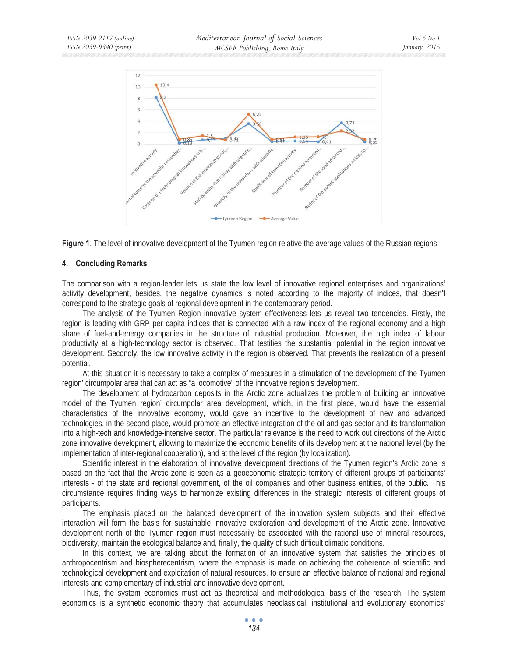



#### **4. Concluding Remarks**

The comparison with a region-leader lets us state the low level of innovative regional enterprises and organizations' activity development, besides, the negative dynamics is noted according to the majority of indices, that doesn't correspond to the strategic goals of regional development in the contemporary period.

The analysis of the Tyumen Region innovative system effectiveness lets us reveal two tendencies. Firstly, the region is leading with GRP per capita indices that is connected with a raw index of the regional economy and a high share of fuel-and-energy companies in the structure of industrial production. Moreover, the high index of labour productivity at a high-technology sector is observed. That testifies the substantial potential in the region innovative development. Secondly, the low innovative activity in the region is observed. That prevents the realization of a present potential.

At this situation it is necessary to take a complex of measures in a stimulation of the development of the Tyumen region' circumpolar area that can act as "a locomotive" of the innovative region's development.

The development of hydrocarbon deposits in the Arctic zone actualizes the problem of building an innovative model of the Tyumen region' circumpolar area development, which, in the first place, would have the essential characteristics of the innovative economy, would gave an incentive to the development of new and advanced technologies, in the second place, would promote an effective integration of the oil and gas sector and its transformation into a high-tech and knowledge-intensive sector. The particular relevance is the need to work out directions of the Arctic zone innovative development, allowing to maximize the economic benefits of its development at the national level (by the implementation of inter-regional cooperation), and at the level of the region (by localization).

Scientific interest in the elaboration of innovative development directions of the Tyumen region's Arctic zone is based on the fact that the Arctic zone is seen as a geoeconomic strategic territory of different groups of participants' interests - of the state and regional government, of the oil companies and other business entities, of the public. This circumstance requires finding ways to harmonize existing differences in the strategic interests of different groups of participants.

The emphasis placed on the balanced development of the innovation system subjects and their effective interaction will form the basis for sustainable innovative exploration and development of the Arctic zone. Innovative development north of the Tyumen region must necessarily be associated with the rational use of mineral resources, biodiversity, maintain the ecological balance and, finally, the quality of such difficult climatic conditions.

In this context, we are talking about the formation of an innovative system that satisfies the principles of anthropocentrism and biospherecentrism, where the emphasis is made on achieving the coherence of scientific and technological development and exploitation of natural resources, to ensure an effective balance of national and regional interests and complementary of industrial and innovative development.

Thus, the system economics must act as theoretical and methodological basis of the research. The system economics is a synthetic economic theory that accumulates neoclassical, institutional and evolutionary economics'